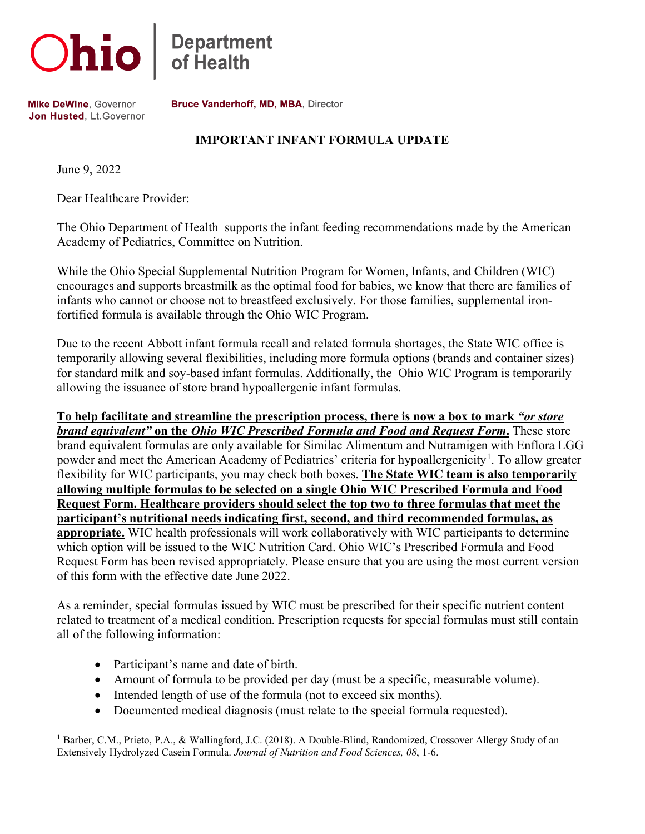

**Department**<br>of Health

Mike DeWine, Governor Jon Husted, Lt. Governor Bruce Vanderhoff, MD, MBA, Director

## **IMPORTANT INFANT FORMULA UPDATE**

June 9, 2022

Dear Healthcare Provider:

The Ohio Department of Health supports the infant feeding recommendations made by the American Academy of Pediatrics, Committee on Nutrition.

While the Ohio Special Supplemental Nutrition Program for Women, Infants, and Children (WIC) encourages and supports breastmilk as the optimal food for babies, we know that there are families of infants who cannot or choose not to breastfeed exclusively. For those families, supplemental ironfortified formula is available through the Ohio WIC Program.

Due to the recent Abbott infant formula recall and related formula shortages, the State WIC office is temporarily allowing several flexibilities, including more formula options (brands and container sizes) for standard milk and soy-based infant formulas. Additionally, the Ohio WIC Program is temporarily allowing the issuance of store brand hypoallergenic infant formulas.

**To help facilitate and streamline the prescription process, there is now a box to mark** *"or store brand equivalent"* **on the** *Ohio WIC Prescribed Formula and Food and Request Form***.** These store brand equivalent formulas are only available for Similac Alimentum and Nutramigen with Enflora LGG powder and meet the American Academy of Pediatrics' criteria for hypoallergenicity<sup>[1](#page-0-0)</sup>. To allow greater flexibility for WIC participants, you may check both boxes. **The State WIC team is also temporarily allowing multiple formulas to be selected on a single Ohio WIC Prescribed Formula and Food Request Form. Healthcare providers should select the top two to three formulas that meet the participant's nutritional needs indicating first, second, and third recommended formulas, as appropriate.** WIC health professionals will work collaboratively with WIC participants to determine which option will be issued to the WIC Nutrition Card. Ohio WIC's Prescribed Formula and Food Request Form has been revised appropriately. Please ensure that you are using the most current version of this form with the effective date June 2022.

As a reminder, special formulas issued by WIC must be prescribed for their specific nutrient content related to treatment of a medical condition. Prescription requests for special formulas must still contain all of the following information:

- Participant's name and date of birth.
- Amount of formula to be provided per day (must be a specific, measurable volume).
- Intended length of use of the formula (not to exceed six months).
- Documented medical diagnosis (must relate to the special formula requested).

<span id="page-0-0"></span><sup>1</sup> Barber, C.M., Prieto, P.A., & Wallingford, J.C. (2018). A Double-Blind, Randomized, Crossover Allergy Study of an Extensively Hydrolyzed Casein Formula. *Journal of Nutrition and Food Sciences, 08*, 1-6.